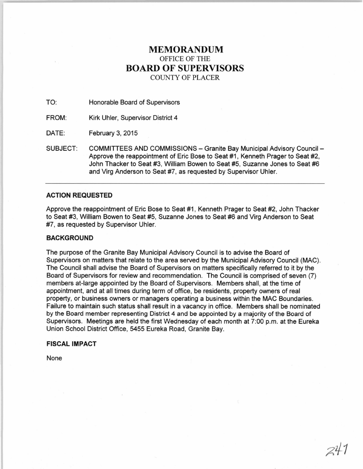# **MEMORANDUM**  OFFICE OF THE **BOARD OF SUPERVISORS**  COUNTY OF PLACER

TO: Honorable Board of Supervisors

FROM: Kirk Uhler, Supervisor District 4

DATE: February 3, 2015

SUBJECT: COMMITTEES AND COMMISSIONS - Granite Bay Municipal Advisory Council -Approve the reappointment of Eric Bose to Seat #1, Kenneth Prager to Seat #2, John Thacker to Seat #3, William Bowen to Seat #5, Suzanne Jones to Seat #6 and Virg Anderson to Seat #7, as requested by Supervisor Uhler.

# **ACTION REQUESTED**

Approve the reappointment of Eric Bose to Seat #1, Kenneth Prager to Seat #2, John Thacker to Seat #3, William Bowen to Seat #5, Suzanne Jones to Seat #6 and Virg Anderson to Seat #7, as requested by Supervisor Uhler.

## **BACKGROUND**

The purpose of the Granite Bay Municipal Advisory Council is to advise the Board of Supervisors on matters that relate to the area served by the Municipal Advisory Council (MAC). The Council shall advise the Board of Supervisors on matters specifically referred to it by the Board of Supervisors for review and recommendation. The Council is comprised of seven (7) members at-large appointed by the Board of Supervisors. Members shall, at the time of appointment, and at all times during term of office, be residents, property owners of real property, or business owners or managers operating a business within the MAC Boundaries. Failure to maintain such status shall result in a vacancy in office. Members shall be nominated by the Board member representing District 4 and be appointed by a majority of the Board of Supervisors. Meetings are held the first Wednesday of each month at 7:00 p.m. at the Eureka Union School District Office, 5455 Eureka Road, Granite Bay.

 $247$ 

# **FISCAL IMPACT**

None